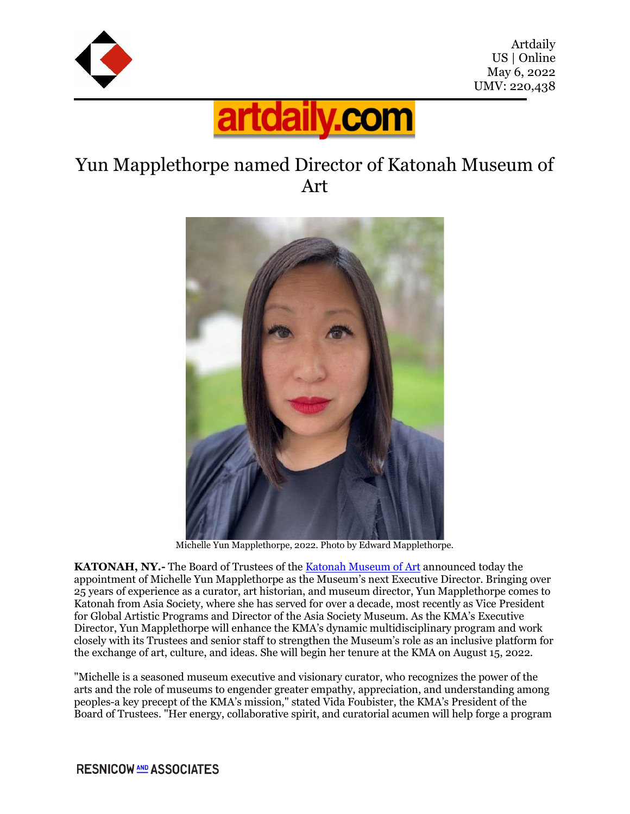



## Yun Mapplethorpe named Director of Katonah Museum of Art



Michelle Yun Mapplethorpe, 2022. Photo by Edward Mapplethorpe.

**KATONAH, NY.-** The Board of Trustees of the [Katonah Museum of Art](https://www.katonahmuseum.org/) announced today the appointment of Michelle Yun Mapplethorpe as the Museum's next Executive Director. Bringing over 25 years of experience as a curator, art historian, and museum director, Yun Mapplethorpe comes to Katonah from Asia Society, where she has served for over a decade, most recently as Vice President for Global Artistic Programs and Director of the Asia Society Museum. As the KMA's Executive Director, Yun Mapplethorpe will enhance the KMA's dynamic multidisciplinary program and work closely with its Trustees and senior staff to strengthen the Museum's role as an inclusive platform for the exchange of art, culture, and ideas. She will begin her tenure at the KMA on August 15, 2022.

"Michelle is a seasoned museum executive and visionary curator, who recognizes the power of the arts and the role of museums to engender greater empathy, appreciation, and understanding among peoples-a key precept of the KMA's mission," stated Vida Foubister, the KMA's President of the Board of Trustees. "Her energy, collaborative spirit, and curatorial acumen will help forge a program